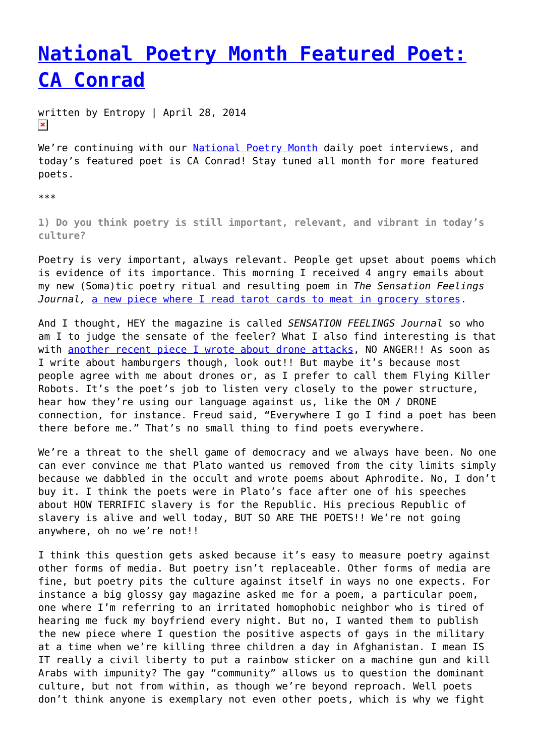## **[National Poetry Month Featured Poet:](https://entropymag.org/national-poetry-month-featured-poet-ca-conrad/) [CA Conrad](https://entropymag.org/national-poetry-month-featured-poet-ca-conrad/)**

written by Entropy | April 28, 2014  $\pmb{\times}$ 

We're continuing with our [National Poetry Month](https://entropymag.org/tag/national-poetry-month) daily poet interviews, and today's featured poet is CA Conrad! Stay tuned all month for more featured poets.

\*\*\*

**1) Do you think poetry is still important, relevant, and vibrant in today's culture?**

Poetry is very important, always relevant. People get upset about poems which is evidence of its importance. This morning I received 4 angry emails about my new (Soma)tic poetry ritual and resulting poem in *The Sensation Feelings Journal,* [a new piece where I read tarot cards to meat in grocery stores.](http://www.thesensationfeelingsjournal.org/poetry/)

And I thought, HEY the magazine is called *SENSATION FEELINGS Journal* so who am I to judge the sensate of the feeler? What I also find interesting is that with [another recent piece I wrote about drone attacks](http://bit.ly/1hQZGJy), NO ANGER!! As soon as I write about hamburgers though, look out!! But maybe it's because most people agree with me about drones or, as I prefer to call them Flying Killer Robots. It's the poet's job to listen very closely to the power structure, hear how they're using our language against us, like the OM / DRONE connection, for instance. Freud said, "Everywhere I go I find a poet has been there before me." That's no small thing to find poets everywhere.

We're a threat to the shell game of democracy and we always have been. No one can ever convince me that Plato wanted us removed from the city limits simply because we dabbled in the occult and wrote poems about Aphrodite. No, I don't buy it. I think the poets were in Plato's face after one of his speeches about HOW TERRIFIC slavery is for the Republic. His precious Republic of slavery is alive and well today, BUT SO ARE THE POETS!! We're not going anywhere, oh no we're not!!

I think this question gets asked because it's easy to measure poetry against other forms of media. But poetry isn't replaceable. Other forms of media are fine, but poetry pits the culture against itself in ways no one expects. For instance a big glossy gay magazine asked me for a poem, a particular poem, one where I'm referring to an irritated homophobic neighbor who is tired of hearing me fuck my boyfriend every night. But no, I wanted them to publish the new piece where I question the positive aspects of gays in the military at a time when we're killing three children a day in Afghanistan. I mean IS IT really a civil liberty to put a rainbow sticker on a machine gun and kill Arabs with impunity? The gay "community" allows us to question the dominant culture, but not from within, as though we're beyond reproach. Well poets don't think anyone is exemplary not even other poets, which is why we fight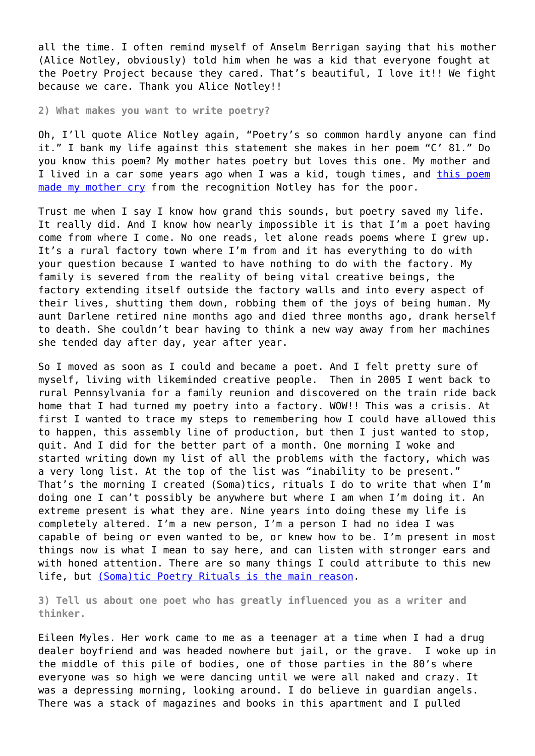all the time. I often remind myself of Anselm Berrigan saying that his mother (Alice Notley, obviously) told him when he was a kid that everyone fought at the Poetry Project because they cared. That's beautiful, I love it!! We fight because we care. Thank you Alice Notley!!

**2) What makes you want to write poetry?**

Oh, I'll quote Alice Notley again, "Poetry's so common hardly anyone can find it." I bank my life against this statement she makes in her poem "C' 81." Do you know this poem? My mother hates poetry but loves this one. My mother and I lived in a car some years ago when I was a kid, tough times, and [this poem](http://writing.upenn.edu/pennsound/x/Frequency.html) [made my mother cry](http://writing.upenn.edu/pennsound/x/Frequency.html) from the recognition Notley has for the poor.

Trust me when I say I know how grand this sounds, but poetry saved my life. It really did. And I know how nearly impossible it is that I'm a poet having come from where I come. No one reads, let alone reads poems where I grew up. It's a rural factory town where I'm from and it has everything to do with your question because I wanted to have nothing to do with the factory. My family is severed from the reality of being vital creative beings, the factory extending itself outside the factory walls and into every aspect of their lives, shutting them down, robbing them of the joys of being human. My aunt Darlene retired nine months ago and died three months ago, drank herself to death. She couldn't bear having to think a new way away from her machines she tended day after day, year after year.

So I moved as soon as I could and became a poet. And I felt pretty sure of myself, living with likeminded creative people. Then in 2005 I went back to rural Pennsylvania for a family reunion and discovered on the train ride back home that I had turned my poetry into a factory. WOW!! This was a crisis. At first I wanted to trace my steps to remembering how I could have allowed this to happen, this assembly line of production, but then I just wanted to stop, quit. And I did for the better part of a month. One morning I woke and started writing down my list of all the problems with the factory, which was a very long list. At the top of the list was "inability to be present." That's the morning I created (Soma)tics, rituals I do to write that when I'm doing one I can't possibly be anywhere but where I am when I'm doing it. An extreme present is what they are. Nine years into doing these my life is completely altered. I'm a new person, I'm a person I had no idea I was capable of being or even wanted to be, or knew how to be. I'm present in most things now is what I mean to say here, and can listen with stronger ears and with honed attention. There are so many things I could attribute to this new life, but [\(Soma\)tic Poetry Rituals is the main reason](http://somaticpoetryexercises.blogspot.com/).

**3) Tell us about one poet who has greatly influenced you as a writer and thinker.**

Eileen Myles. Her work came to me as a teenager at a time when I had a drug dealer boyfriend and was headed nowhere but jail, or the grave. I woke up in the middle of this pile of bodies, one of those parties in the 80's where everyone was so high we were dancing until we were all naked and crazy. It was a depressing morning, looking around. I do believe in guardian angels. There was a stack of magazines and books in this apartment and I pulled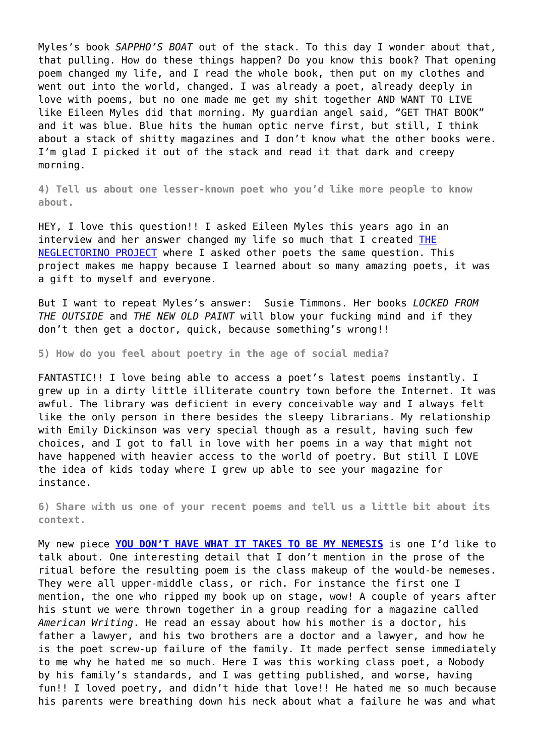Myles's book *SAPPHO'S BOAT* out of the stack. To this day I wonder about that, that pulling. How do these things happen? Do you know this book? That opening poem changed my life, and I read the whole book, then put on my clothes and went out into the world, changed. I was already a poet, already deeply in love with poems, but no one made me get my shit together AND WANT TO LIVE like Eileen Myles did that morning. My guardian angel said, "GET THAT BOOK" and it was blue. Blue hits the human optic nerve first, but still, I think about a stack of shitty magazines and I don't know what the other books were. I'm glad I picked it out of the stack and read it that dark and creepy morning.

**4) Tell us about one lesser-known poet who you'd like more people to know about.**

HEY, I love this question!! I asked Eileen Myles this years ago in an interview and her answer changed my life so much that I created [THE](http://bit.ly/Rsg91w) [NEGLECTORINO PROJECT](http://bit.ly/Rsg91w) where I asked other poets the same question. This project makes me happy because I learned about so many amazing poets, it was a gift to myself and everyone.

But I want to repeat Myles's answer: Susie Timmons. Her books *LOCKED FROM THE OUTSIDE* and *THE NEW OLD PAINT* will blow your fucking mind and if they don't then get a doctor, quick, because something's wrong!!

**5) How do you feel about poetry in the age of social media?**

FANTASTIC!! I love being able to access a poet's latest poems instantly. I grew up in a dirty little illiterate country town before the Internet. It was awful. The library was deficient in every conceivable way and I always felt like the only person in there besides the sleepy librarians. My relationship with Emily Dickinson was very special though as a result, having such few choices, and I got to fall in love with her poems in a way that might not have happened with heavier access to the world of poetry. But still I LOVE the idea of kids today where I grew up able to see your magazine for instance.

**6) Share with us one of your recent poems and tell us a little bit about its context.**

My new piece **[YOU DON'T HAVE WHAT IT TAKES TO BE MY NEMESIS](http://www.diodepoetry.com/v7n1/content/caconrad.html)** is one I'd like to talk about. One interesting detail that I don't mention in the prose of the ritual before the resulting poem is the class makeup of the would-be nemeses. They were all upper-middle class, or rich. For instance the first one I mention, the one who ripped my book up on stage, wow! A couple of years after his stunt we were thrown together in a group reading for a magazine called *American Writing*. He read an essay about how his mother is a doctor, his father a lawyer, and his two brothers are a doctor and a lawyer, and how he is the poet screw-up failure of the family. It made perfect sense immediately to me why he hated me so much. Here I was this working class poet, a Nobody by his family's standards, and I was getting published, and worse, having fun!! I loved poetry, and didn't hide that love!! He hated me so much because his parents were breathing down his neck about what a failure he was and what